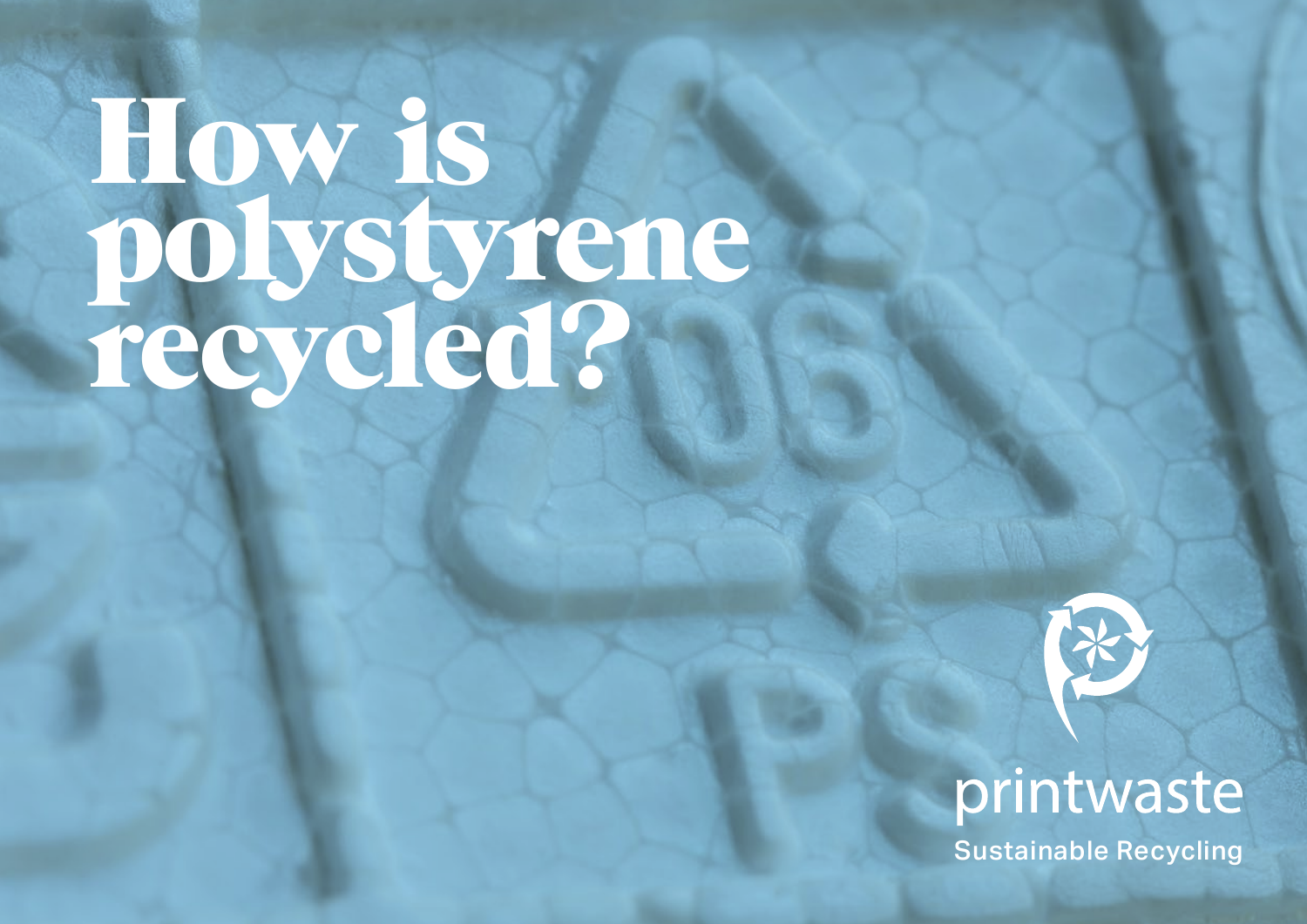## How is polystyrene recycled?



## printwaste

Sustainable Recycling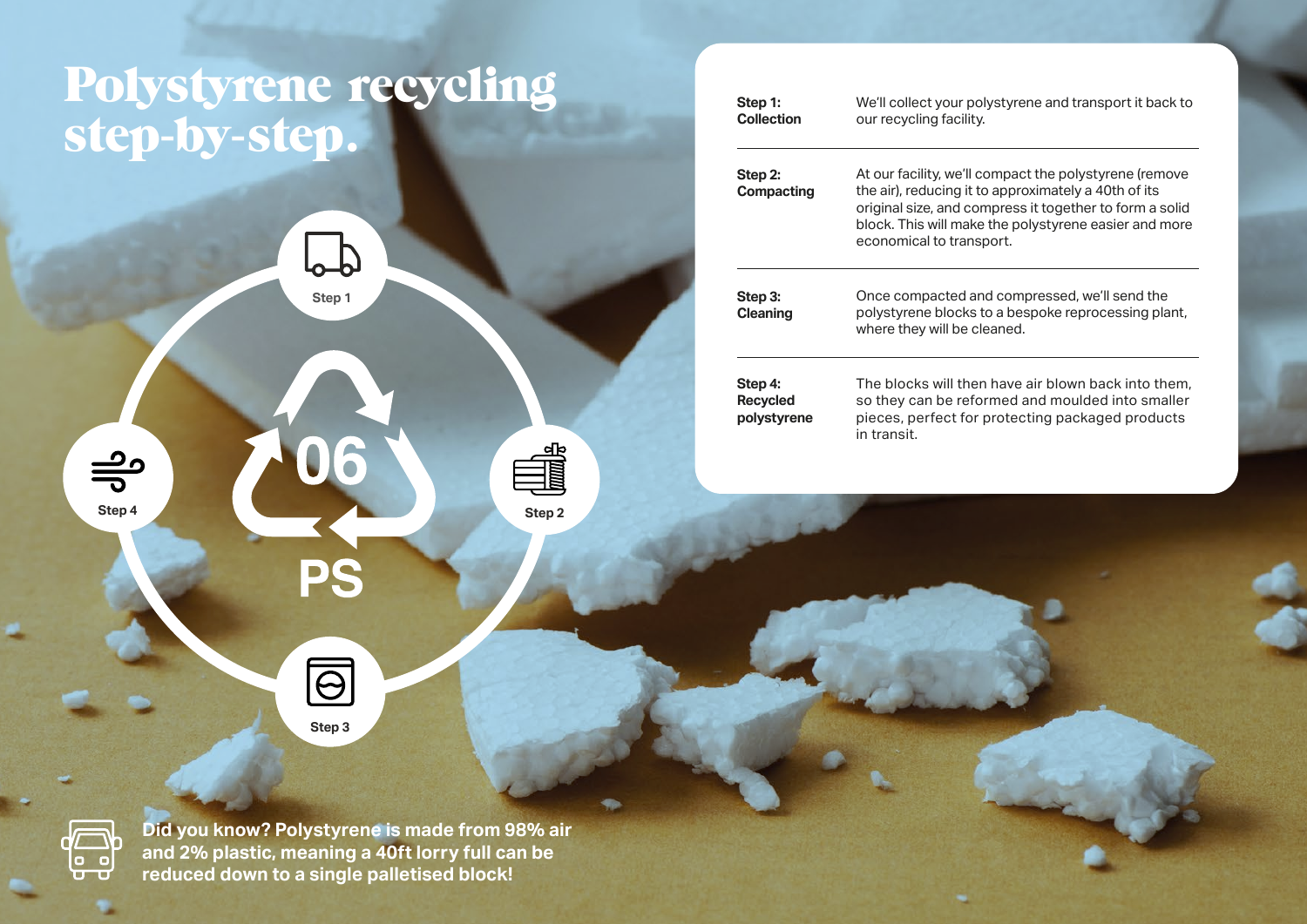## Polystyrene recycling step-by-step.

**Step 1**

 $\mathbb{P}$ 

| Step 1:<br><b>Collection</b>              | We'll collect your polystyrene and transport it back to<br>our recycling facility.<br>At our facility, we'll compact the polystyrene (remove<br>the air), reducing it to approximately a 40th of its<br>original size, and compress it together to form a solid<br>block. This will make the polystyrene easier and more<br>economical to transport. |  |  |  |  |  |
|-------------------------------------------|------------------------------------------------------------------------------------------------------------------------------------------------------------------------------------------------------------------------------------------------------------------------------------------------------------------------------------------------------|--|--|--|--|--|
| Step 2:<br><b>Compacting</b>              |                                                                                                                                                                                                                                                                                                                                                      |  |  |  |  |  |
| Step 3:<br><b>Cleaning</b>                | Once compacted and compressed, we'll send the<br>polystyrene blocks to a bespoke reprocessing plant,<br>where they will be cleaned.                                                                                                                                                                                                                  |  |  |  |  |  |
| Step 4:<br><b>Recycled</b><br>polystyrene | The blocks will then have air blown back into them.<br>so they can be reformed and moulded into smaller<br>pieces, perfect for protecting packaged products<br>in transit.                                                                                                                                                                           |  |  |  |  |  |
|                                           |                                                                                                                                                                                                                                                                                                                                                      |  |  |  |  |  |

 $\overleftarrow{\text{e-c}}$ 

 $\frac{1}{5}$ 

**Did you know? Polystyrene is made from 98% air and 2% plastic, meaning a 40ft lorry full can be reduced down to a single palletised block!** 

**Step 3**

 $\boxed{\odot}$ 

**Step 4 Step 2** 

PS

06

E